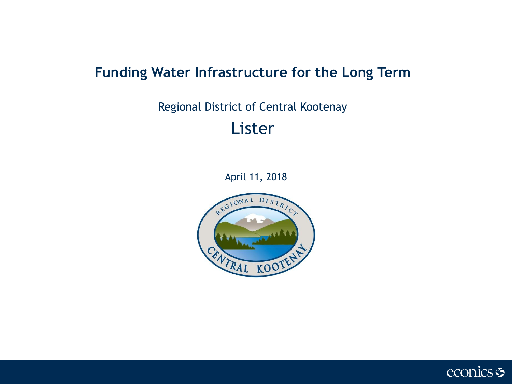# **Funding Water Infrastructure for the Long Term**

# Regional District of Central Kootenay Lister

April 11, 2018



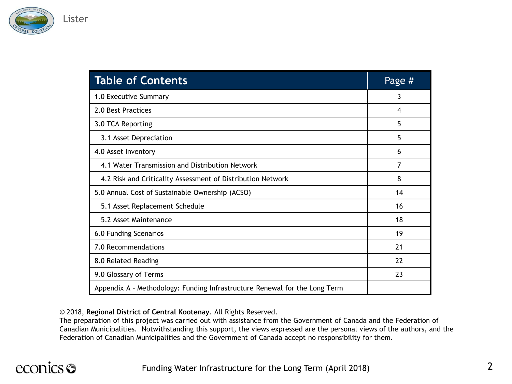

| <b>Table of Contents</b>                                                   | Page # |
|----------------------------------------------------------------------------|--------|
| 1.0 Executive Summary                                                      | 3      |
| 2.0 Best Practices                                                         | 4      |
| 3.0 TCA Reporting                                                          | 5      |
| 3.1 Asset Depreciation                                                     | 5      |
| 4.0 Asset Inventory                                                        | 6      |
| 4.1 Water Transmission and Distribution Network                            | 7      |
| 4.2 Risk and Criticality Assessment of Distribution Network                | 8      |
| 5.0 Annual Cost of Sustainable Ownership (ACSO)                            | 14     |
| 5.1 Asset Replacement Schedule                                             | 16     |
| 5.2 Asset Maintenance                                                      | 18     |
| 6.0 Funding Scenarios                                                      | 19     |
| 7.0 Recommendations                                                        | 21     |
| 8.0 Related Reading                                                        | 22     |
| 9.0 Glossary of Terms                                                      | 23     |
| Appendix A - Methodology: Funding Infrastructure Renewal for the Long Term |        |

© 2018, **Regional District of Central Kootenay**. All Rights Reserved.

The preparation of this project was carried out with assistance from the Government of Canada and the Federation of Canadian Municipalities. Notwithstanding this support, the views expressed are the personal views of the authors, and the Federation of Canadian Municipalities and the Government of Canada accept no responsibility for them.

# econics <del>S</del>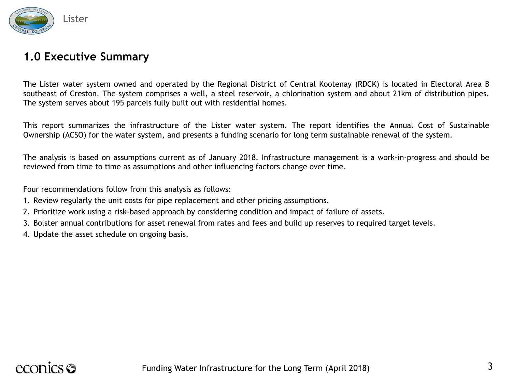

#### **1.0 Executive Summary**

The Lister water system owned and operated by the Regional District of Central Kootenay (RDCK) is located in Electoral Area B southeast of Creston. The system comprises a well, a steel reservoir, a chlorination system and about 21km of distribution pipes. The system serves about 195 parcels fully built out with residential homes.

This report summarizes the infrastructure of the Lister water system. The report identifies the Annual Cost of Sustainable Ownership (ACSO) for the water system, and presents a funding scenario for long term sustainable renewal of the system.

The analysis is based on assumptions current as of January 2018. Infrastructure management is a work-in-progress and should be reviewed from time to time as assumptions and other influencing factors change over time.

Four recommendations follow from this analysis as follows:

- 1. Review regularly the unit costs for pipe replacement and other pricing assumptions.
- 2. Prioritize work using a risk-based approach by considering condition and impact of failure of assets.
- 3. Bolster annual contributions for asset renewal from rates and fees and build up reserves to required target levels.
- 4. Update the asset schedule on ongoing basis.

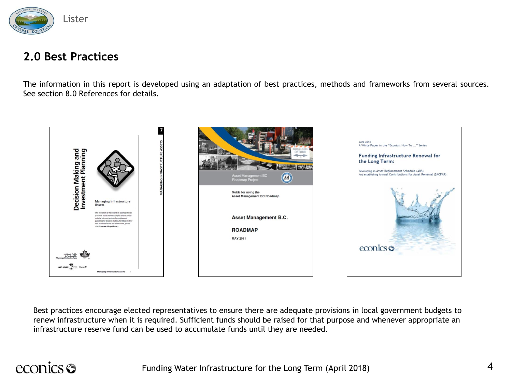

#### **2.0 Best Practices**

The information in this report is developed using an adaptation of best practices, methods and frameworks from several sources. See section 8.0 References for details.



Best practices encourage elected representatives to ensure there are adequate provisions in local government budgets to renew infrastructure when it is required. Sufficient funds should be raised for that purpose and whenever appropriate an infrastructure reserve fund can be used to accumulate funds until they are needed.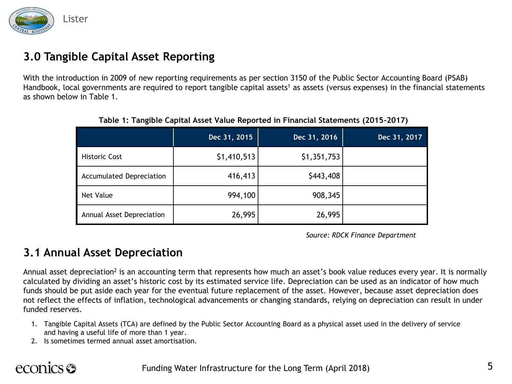

### **3.0 Tangible Capital Asset Reporting**

With the introduction in 2009 of new reporting requirements as per section 3150 of the Public Sector Accounting Board (PSAB) Handbook, local governments are required to report tangible capital assets<sup>1</sup> as assets (versus expenses) in the financial statements as shown below in Table 1.

|                                 | Dec 31, 2015 | Dec 31, 2016 | Dec 31, 2017 |
|---------------------------------|--------------|--------------|--------------|
| <b>Historic Cost</b>            | \$1,410,513  | \$1,351,753  |              |
| <b>Accumulated Depreciation</b> | 416,413      | \$443,408    |              |
| Net Value                       | 994,100      | 908,345      |              |
| Annual Asset Depreciation       | 26,995       | 26,995       |              |

**Table 1: Tangible Capital Asset Value Reported in Financial Statements (2015-2017)**

*Source: RDCK Finance Department*

#### **3.1 Annual Asset Depreciation**

Annual asset depreciation<sup>2</sup> is an accounting term that represents how much an asset's book value reduces every year. It is normally calculated by dividing an asset's historic cost by its estimated service life. Depreciation can be used as an indicator of how much funds should be put aside each year for the eventual future replacement of the asset. However, because asset depreciation does not reflect the effects of inflation, technological advancements or changing standards, relying on depreciation can result in under funded reserves.

- 1. Tangible Capital Assets (TCA) are defined by the Public Sector Accounting Board as a physical asset used in the delivery of service and having a useful life of more than 1 year.
- 2. Is sometimes termed annual asset amortisation.

# econics S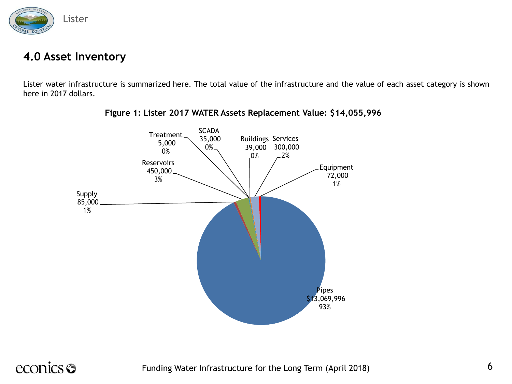

#### **4.0 Asset Inventory**

Lister water infrastructure is summarized here. The total value of the infrastructure and the value of each asset category is shown here in 2017 dollars.



**Figure 1: Lister 2017 WATER Assets Replacement Value: \$14,055,996**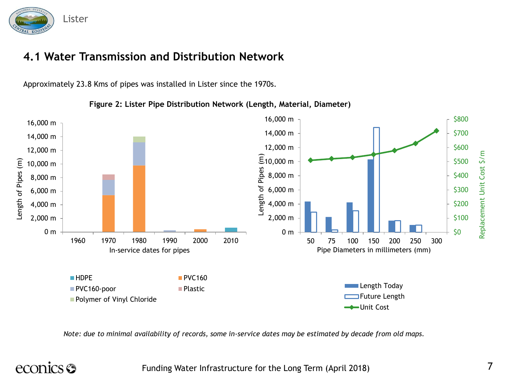

### **4.1 Water Transmission and Distribution Network**

Approximately 23.8 Kms of pipes was installed in Lister since the 1970s.

PVC160-poor Plastic

**Polymer of Vinyl Chloride** 

16,000 m \$800 16,000 m 14,000 m \$700 14,000 m 12,000 m \$600 12,000 m Length of Pipes (m) \$500 Length of Pipes (m) Length of Pipes (m) 10,000 m 10,000 m \$400 8,000 m 8,000 m \$300 6,000 m 6,000 m \$200 4,000 m 4,000 m 2,000 m \$100 2,000 m 0 m \$0 0 m 1960 1970 1980 1990 2000 2010 50 75 100 150 200 250 300 Pipe Diameters in millimeters (mm) In-service dates for pipes **HDPE** PVC160

**Figure 2: Lister Pipe Distribution Network (Length, Material, Diameter)**

*Note: due to minimal availability of records, some in-service dates may be estimated by decade from old maps.* 

# econics <del>S</del>

Funding Water Infrastructure for the Long Term (April 2018)

Replacement Unit Cost \$/m

Replacement Unit Cost \$/

E

**Length Today** Future Length Unit Cost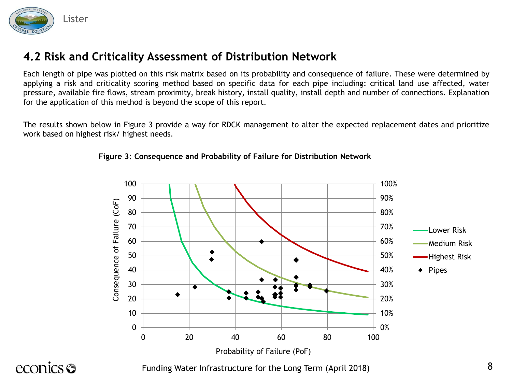

Each length of pipe was plotted on this risk matrix based on its probability and consequence of failure. These were determined by applying a risk and criticality scoring method based on specific data for each pipe including: critical land use affected, water pressure, available fire flows, stream proximity, break history, install quality, install depth and number of connections. Explanation for the application of this method is beyond the scope of this report.

The results shown below in Figure 3 provide a way for RDCK management to alter the expected replacement dates and prioritize work based on highest risk/ highest needs.



**Figure 3: Consequence and Probability of Failure for Distribution Network**

econics <del>S</del>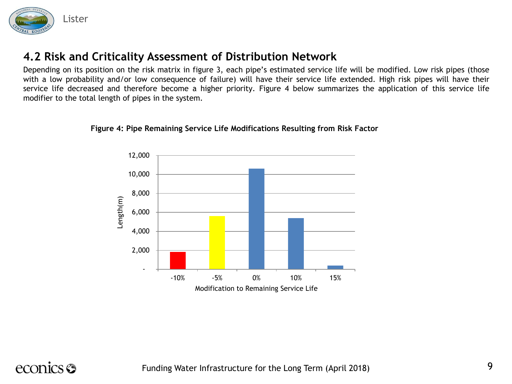

Depending on its position on the risk matrix in figure 3, each pipe's estimated service life will be modified. Low risk pipes (those with a low probability and/or low consequence of failure) will have their service life extended. High risk pipes will have their service life decreased and therefore become a higher priority. Figure 4 below summarizes the application of this service life modifier to the total length of pipes in the system.





# econics **S**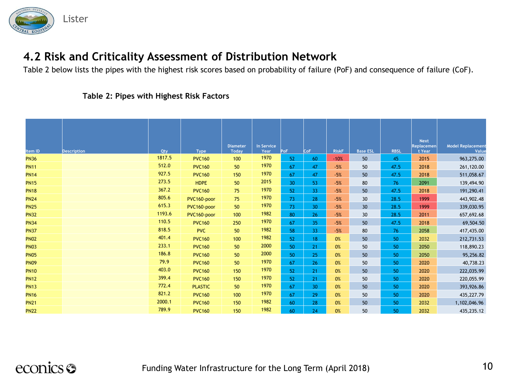

Table 2 below lists the pipes with the highest risk scores based on probability of failure (PoF) and consequence of failure (CoF).

#### **Table 2: Pipes with Highest Risk Factors**

| Item ID     | <b>Description</b> | Qty    | <b>Type</b>    | <b>Diameter</b><br><b>Today</b> | <b>In Service</b><br>Year | PoF             | <b>CoF</b>      | <b>RiskF</b> | <b>Base ESL</b> | <b>RBSL</b> | <b>Next</b><br>Replacemen<br>t Year | <b>Model Replacement</b><br>Value |
|-------------|--------------------|--------|----------------|---------------------------------|---------------------------|-----------------|-----------------|--------------|-----------------|-------------|-------------------------------------|-----------------------------------|
| <b>PN36</b> |                    | 1817.5 | <b>PVC160</b>  | 100                             | 1970                      | 52              | 60              | $-10%$       | 50              | 45          | 2015                                | 963,275.00                        |
| <b>PN11</b> |                    | 512.0  | <b>PVC160</b>  | 50                              | 1970                      | 67              | 47              | $-5%$        | 50              | 47.5        | 2018                                | 261,120.00                        |
| <b>PN14</b> |                    | 927.5  | <b>PVC160</b>  | 150                             | 1970                      | 67              | 47              | $-5%$        | 50              | 47.5        | 2018                                | 511,058.67                        |
| <b>PN15</b> |                    | 273.5  | <b>HDPE</b>    | 50                              | 2015                      | 30 <sup>°</sup> | 53              | $-5%$        | 80              | 76          | 2091                                | 139,494.90                        |
| <b>PN18</b> |                    | 367.2  | <b>PVC160</b>  | 75                              | 1970                      | 52              | 33              | $-5%$        | 50              | 47.5        | 2018                                | 191,290.41                        |
| <b>PN24</b> |                    | 805.6  | PVC160-poor    | 75                              | 1970                      | 73              | 28              | $-5%$        | 30              | 28.5        | 1999                                | 443,902.48                        |
| <b>PN25</b> |                    | 615.3  | PVC160-poor    | 50                              | 1970                      | 73              | 30 <sup>°</sup> | $-5%$        | 30 <sup>°</sup> | 28.5        | 1999                                | 339,030.95                        |
| <b>PN32</b> |                    | 1193.6 | PVC160-poor    | 100                             | 1982                      | 80              | 26              | $-5%$        | 30              | 28.5        | 2011                                | 657,692.68                        |
| <b>PN34</b> |                    | 110.5  | <b>PVC160</b>  | 250                             | 1970                      | 67              | 35 <sub>1</sub> | $-5%$        | 50              | 47.5        | 2018                                | 69,504.50                         |
| <b>PN37</b> |                    | 818.5  | <b>PVC</b>     | 50                              | 1982                      | 58              | 33              | $-5%$        | 80              | 76          | 2058                                | 417,435.00                        |
| <b>PN02</b> |                    | 401.4  | <b>PVC160</b>  | 100                             | 1982                      | 52              | 18 <sup>°</sup> | 0%           | 50              | 50          | 2032                                | 212,731.53                        |
| <b>PN03</b> |                    | 233.1  | <b>PVC160</b>  | 50                              | 2000                      | 50              | 21              | 0%           | 50              | 50          | 2050                                | 118,890.23                        |
| <b>PN05</b> |                    | 186.8  | <b>PVC160</b>  | 50                              | 2000                      | 50              | 25              | 0%           | 50              | 50          | 2050                                | 95,256.82                         |
| <b>PN09</b> |                    | 79.9   | <b>PVC160</b>  | 50                              | 1970                      | 67              | 26              | 0%           | 50              | 50          | 2020                                | 40,738.23                         |
| <b>PN10</b> |                    | 403.0  | <b>PVC160</b>  | 150                             | 1970                      | 52              | 21              | 0%           | 50              | 50          | 2020                                | 222,035.99                        |
| <b>PN12</b> |                    | 399.4  | <b>PVC160</b>  | 150                             | 1970                      | 52              | 21              | 0%           | 50              | 50          | 2020                                | 220,055.99                        |
| <b>PN13</b> |                    | 772.4  | <b>PLASTIC</b> | 50                              | 1970                      | 67              | 30              | 0%           | 50              | 50          | 2020                                | 393,926.86                        |
| <b>PN16</b> |                    | 821.2  | <b>PVC160</b>  | 100                             | 1970                      | 67              | 29              | 0%           | 50              | 50          | 2020                                | 435,227.79                        |
| <b>PN21</b> |                    | 2000.1 | <b>PVC160</b>  | 150                             | 1982                      | 60              | 28              | 0%           | 50              | 50          | 2032                                | 1,102,046.96                      |
| <b>PN22</b> |                    | 789.9  | <b>PVC160</b>  | 150                             | 1982                      | 60              | 24              | 0%           | 50              | 50          | 2032                                | 435,235.12                        |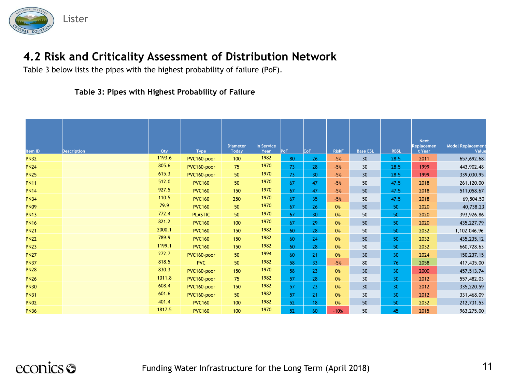

Table 3 below lists the pipes with the highest probability of failure (PoF).

#### **Table 3: Pipes with Highest Probability of Failure**

| Item ID     | <b>Description</b> | Qty    | <b>Type</b>    | <b>Diameter</b><br><b>Todav</b> | In Service<br>Year | PoF | <b>CoF</b>      | <b>RiskF</b> | <b>Base ESL</b> | <b>RBSL</b>     | <b>Next</b><br>Replacemen<br>t Year | <b>Model Replacement</b><br>Value |
|-------------|--------------------|--------|----------------|---------------------------------|--------------------|-----|-----------------|--------------|-----------------|-----------------|-------------------------------------|-----------------------------------|
| <b>PN32</b> |                    | 1193.6 | PVC160-poor    | 100                             | 1982               | 80  | 26              | $-5%$        | 30              | 28.5            | 2011                                | 657,692.68                        |
| <b>PN24</b> |                    | 805.6  | PVC160-poor    | 75                              | 1970               | 73  | 28              | $-5%$        | 30              | 28.5            | 1999                                | 443,902.48                        |
| <b>PN25</b> |                    | 615.3  | PVC160-poor    | 50                              | 1970               | 73  | 30 <sup>°</sup> | $-5%$        | 30              | 28.5            | 1999                                | 339,030.95                        |
| <b>PN11</b> |                    | 512.0  | <b>PVC160</b>  | 50                              | 1970               | 67  | 47              | $-5%$        | 50              | 47.5            | 2018                                | 261,120.00                        |
| <b>PN14</b> |                    | 927.5  | <b>PVC160</b>  | 150                             | 1970               | 67  | 47              | $-5%$        | 50              | 47.5            | 2018                                | 511,058.67                        |
| <b>PN34</b> |                    | 110.5  | <b>PVC160</b>  | 250                             | 1970               | 67  | 35 <sub>1</sub> | $-5%$        | 50              | 47.5            | 2018                                | 69,504.50                         |
| <b>PN09</b> |                    | 79.9   | <b>PVC160</b>  | 50                              | 1970               | 67  | 26              | 0%           | 50              | 50              | 2020                                | 40,738.23                         |
| <b>PN13</b> |                    | 772.4  | <b>PLASTIC</b> | 50                              | 1970               | 67  | 30 <sup>°</sup> | 0%           | 50              | 50              | 2020                                | 393,926.86                        |
| <b>PN16</b> |                    | 821.2  | <b>PVC160</b>  | 100                             | 1970               | 67  | 29              | 0%           | 50              | 50              | 2020                                | 435,227.79                        |
| <b>PN21</b> |                    | 2000.1 | <b>PVC160</b>  | 150                             | 1982               | 60  | 28              | 0%           | 50              | 50              | 2032                                | 1,102,046.96                      |
| <b>PN22</b> |                    | 789.9  | <b>PVC160</b>  | 150                             | 1982               | 60  | 24              | 0%           | 50              | 50              | 2032                                | 435,235.12                        |
| <b>PN23</b> |                    | 1199.1 | <b>PVC160</b>  | 150                             | 1982               | 60  | 28              | 0%           | 50              | 50              | 2032                                | 660,728.63                        |
| <b>PN27</b> |                    | 272.7  | PVC160-poor    | 50                              | 1994               | 60  | 21              | 0%           | 30              | 30              | 2024                                | 150,237.15                        |
| <b>PN37</b> |                    | 818.5  | <b>PVC</b>     | 50                              | 1982               | 58  | 33              | $-5%$        | 80              | 76              | 2058                                | 417,435.00                        |
| <b>PN28</b> |                    | 830.3  | PVC160-poor    | 150                             | 1970               | 58  | 23              | 0%           | 30              | 30              | 2000                                | 457,513.74                        |
| <b>PN26</b> |                    | 1011.8 | PVC160-poor    | 75                              | 1982               | 57  | 28              | 0%           | 30              | 30 <sup>°</sup> | 2012                                | 557,482.03                        |
| <b>PN30</b> |                    | 608.4  | PVC160-poor    | 150                             | 1982               | 57  | 23              | 0%           | 30              | 30 <sup>°</sup> | 2012                                | 335,220.59                        |
| <b>PN31</b> |                    | 601.6  | PVC160-poor    | 50                              | 1982               | 57  | 21              | 0%           | 30              | 30              | 2012                                | 331,468.09                        |
| <b>PN02</b> |                    | 401.4  | <b>PVC160</b>  | 100                             | 1982               | 52  | 18              | 0%           | 50              | 50              | 2032                                | 212,731.53                        |
| <b>PN36</b> |                    | 1817.5 | <b>PVC160</b>  | 100                             | 1970               | 52  | 60              | $-10%$       | 50              | 45              | 2015                                | 963,275.00                        |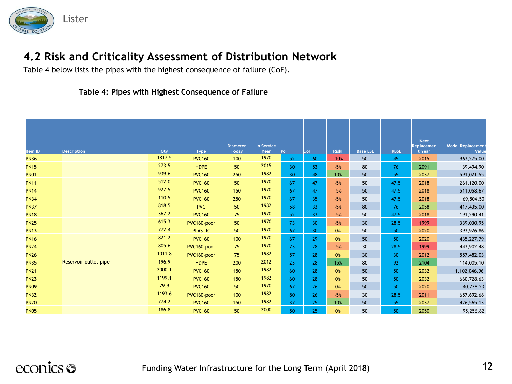

Table 4 below lists the pipes with the highest consequence of failure (CoF).

#### **Table 4: Pipes with Highest Consequence of Failure**

| Item ID     | <b>Description</b>    | Qty    | <b>Type</b>    | <b>Diameter</b><br><b>Todav</b> | In Service<br>Year | PoF             | CoF             | <b>RiskF</b> | <b>Base ESL</b> | <b>RBSL</b> | <b>Next</b><br><b>Replacemen</b><br>t Year | <b>Model Replacement</b><br>Value |
|-------------|-----------------------|--------|----------------|---------------------------------|--------------------|-----------------|-----------------|--------------|-----------------|-------------|--------------------------------------------|-----------------------------------|
| <b>PN36</b> |                       | 1817.5 | <b>PVC160</b>  | 100                             | 1970               | 52              | 60              | $-10%$       | 50              | 45          | 2015                                       | 963,275.00                        |
| <b>PN15</b> |                       | 273.5  | <b>HDPE</b>    | 50                              | 2015               | 30 <sup>°</sup> | 53              | $-5%$        | 80              | 76          | 2091                                       | 139,494.90                        |
| <b>PN01</b> |                       | 939.6  | <b>PVC160</b>  | 250                             | 1982               | 30 <sup>°</sup> | 48              | 10%          | 50              | 55          | 2037                                       | 591,021.55                        |
| <b>PN11</b> |                       | 512.0  | <b>PVC160</b>  | 50                              | 1970               | 67              | 47              | $-5%$        | 50              | 47.5        | 2018                                       | 261,120.00                        |
| <b>PN14</b> |                       | 927.5  | <b>PVC160</b>  | 150                             | 1970               | 67              | 47              | $-5%$        | 50              | 47.5        | 2018                                       | 511,058.67                        |
| <b>PN34</b> |                       | 110.5  | <b>PVC160</b>  | 250                             | 1970               | 67              | 35 <sub>1</sub> | $-5%$        | 50              | 47.5        | 2018                                       | 69,504.50                         |
| <b>PN37</b> |                       | 818.5  | <b>PVC</b>     | 50                              | 1982               | 58              | 33 <sup>°</sup> | $-5%$        | 80              | 76          | 2058                                       | 417,435.00                        |
| <b>PN18</b> |                       | 367.2  | <b>PVC160</b>  | 75                              | 1970               | 52              | 33 <sup>°</sup> | $-5%$        | 50              | 47.5        | 2018                                       | 191,290.41                        |
| <b>PN25</b> |                       | 615.3  | PVC160-poor    | 50                              | 1970               | 73              | 30 <sup>°</sup> | $-5%$        | 30 <sup>°</sup> | 28.5        | 1999                                       | 339,030.95                        |
| <b>PN13</b> |                       | 772.4  | <b>PLASTIC</b> | 50                              | 1970               | 67              | 30 <sup>°</sup> | 0%           | 50              | 50          | 2020                                       | 393,926.86                        |
| <b>PN16</b> |                       | 821.2  | <b>PVC160</b>  | 100                             | 1970               | 67              | 29              | 0%           | 50              | 50          | 2020                                       | 435,227.79                        |
| <b>PN24</b> |                       | 805.6  | PVC160-poor    | 75                              | 1970               | 73              | 28              | $-5%$        | 30              | 28.5        | 1999                                       | 443,902.48                        |
| <b>PN26</b> |                       | 1011.8 | PVC160-poor    | 75                              | 1982               | 57              | 28              | 0%           | 30              | 30          | 2012                                       | 557,482.03                        |
| <b>PN35</b> | Reservoir outlet pipe | 196.9  | <b>HDPE</b>    | 200                             | 2012               | 23              | 28              | 15%          | 80              | 92          | 2104                                       | 114,005.10                        |
| <b>PN21</b> |                       | 2000.1 | <b>PVC160</b>  | 150                             | 1982               | 60              | 28              | 0%           | 50              | 50          | 2032                                       | 1,102,046.96                      |
| <b>PN23</b> |                       | 1199.1 | <b>PVC160</b>  | 150                             | 1982               | 60              | 28              | 0%           | 50              | 50          | 2032                                       | 660,728.63                        |
| <b>PN09</b> |                       | 79.9   | <b>PVC160</b>  | 50                              | 1970               | 67              | 26              | 0%           | 50              | 50          | 2020                                       | 40,738.23                         |
| <b>PN32</b> |                       | 1193.6 | PVC160-poor    | 100                             | 1982               | 80              | 26              | $-5%$        | 30              | 28.5        | 2011                                       | 657,692.68                        |
| <b>PN20</b> |                       | 774.2  | <b>PVC160</b>  | 150                             | 1982               | 37              | 25              | 10%          | 50              | 55          | 2037                                       | 426,565.13                        |
| <b>PN05</b> |                       | 186.8  | <b>PVC160</b>  | 50                              | 2000               | 50              | 25              | 0%           | 50              | 50          | 2050                                       | 95,256.82                         |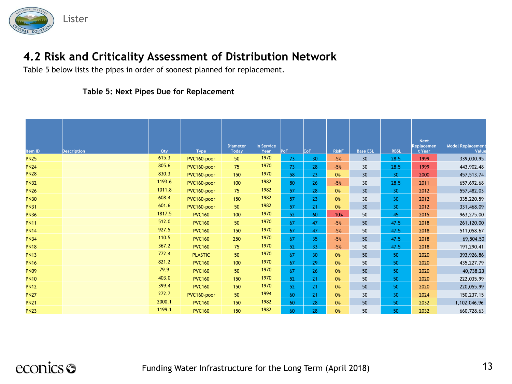

Table 5 below lists the pipes in order of soonest planned for replacement.

#### **Table 5: Next Pipes Due for Replacement**

| Item ID     | <b>Description</b> | Qty    | <b>Type</b>    | <b>Diameter</b><br><b>Today</b> | In Service<br>Year | PoF | CoF             | <b>RiskF</b> | <b>Base ESL</b> | <b>RBSL</b>     | <b>Next</b><br>Replacemen<br>t Year | <b>Model Replacement</b><br>Value |
|-------------|--------------------|--------|----------------|---------------------------------|--------------------|-----|-----------------|--------------|-----------------|-----------------|-------------------------------------|-----------------------------------|
| <b>PN25</b> |                    | 615.3  | PVC160-poor    | 50                              | 1970               | 73  | 30 <sup>°</sup> | $-5%$        | 30              | 28.5            | 1999                                | 339,030.95                        |
| <b>PN24</b> |                    | 805.6  | PVC160-poor    | 75                              | 1970               | 73  | 28              | $-5%$        | 30              | 28.5            | 1999                                | 443,902.48                        |
| <b>PN28</b> |                    | 830.3  | PVC160-poor    | 150                             | 1970               | 58  | 23              | 0%           | 30 <sup>°</sup> | 30              | 2000                                | 457,513.74                        |
| <b>PN32</b> |                    | 1193.6 | PVC160-poor    | 100                             | 1982               | 80  | 26 <sup>2</sup> | $-5%$        | 30              | 28.5            | 2011                                | 657,692.68                        |
| <b>PN26</b> |                    | 1011.8 | PVC160-poor    | 75                              | 1982               | 57  | 28              | 0%           | 30 <sup>°</sup> | 30 <sup>°</sup> | 2012                                | 557,482.03                        |
| <b>PN30</b> |                    | 608.4  | PVC160-poor    | 150                             | 1982               | 57  | 23              | 0%           | 30              | 30 <sup>°</sup> | 2012                                | 335,220.59                        |
| <b>PN31</b> |                    | 601.6  | PVC160-poor    | 50                              | 1982               | 57  | 21              | 0%           | 30 <sup>°</sup> | 30 <sup>°</sup> | 2012                                | 331,468.09                        |
| <b>PN36</b> |                    | 1817.5 | <b>PVC160</b>  | 100                             | 1970               | 52  | 60              | $-10%$       | 50              | 45              | 2015                                | 963,275.00                        |
| <b>PN11</b> |                    | 512.0  | <b>PVC160</b>  | 50                              | 1970               | 67  | 47              | $-5%$        | 50              | 47.5            | 2018                                | 261,120.00                        |
| <b>PN14</b> |                    | 927.5  | <b>PVC160</b>  | 150                             | 1970               | 67  | 47              | $-5%$        | 50              | 47.5            | 2018                                | 511,058.67                        |
| <b>PN34</b> |                    | 110.5  | <b>PVC160</b>  | 250                             | 1970               | 67  | 35 <sub>1</sub> | $-5%$        | 50              | 47.5            | 2018                                | 69,504.50                         |
| <b>PN18</b> |                    | 367.2  | <b>PVC160</b>  | 75                              | 1970               | 52  | 33              | $-5%$        | 50              | 47.5            | 2018                                | 191,290.41                        |
| <b>PN13</b> |                    | 772.4  | <b>PLASTIC</b> | 50                              | 1970               | 67  | 30 <sup>°</sup> | 0%           | 50              | 50              | 2020                                | 393,926.86                        |
| <b>PN16</b> |                    | 821.2  | <b>PVC160</b>  | 100                             | 1970               | 67  | 29              | 0%           | 50              | 50              | 2020                                | 435,227.79                        |
| <b>PN09</b> |                    | 79.9   | <b>PVC160</b>  | 50                              | 1970               | 67  | 26              | 0%           | 50              | 50              | 2020                                | 40,738.23                         |
| <b>PN10</b> |                    | 403.0  | <b>PVC160</b>  | 150                             | 1970               | 52  | 21              | 0%           | 50              | 50              | 2020                                | 222,035.99                        |
| <b>PN12</b> |                    | 399.4  | <b>PVC160</b>  | 150                             | 1970               | 52  | 21              | 0%           | 50              | 50              | 2020                                | 220,055.99                        |
| <b>PN27</b> |                    | 272.7  | PVC160-poor    | 50                              | 1994               | 60  | 21              | 0%           | 30              | 30              | 2024                                | 150,237.15                        |
| <b>PN21</b> |                    | 2000.1 | <b>PVC160</b>  | 150                             | 1982               | 60  | 28              | 0%           | 50              | 50              | 2032                                | 1,102,046.96                      |
| <b>PN23</b> |                    | 1199.1 | <b>PVC160</b>  | 150                             | 1982               | 60  | 28              | 0%           | 50              | 50              | 2032                                | 660,728.63                        |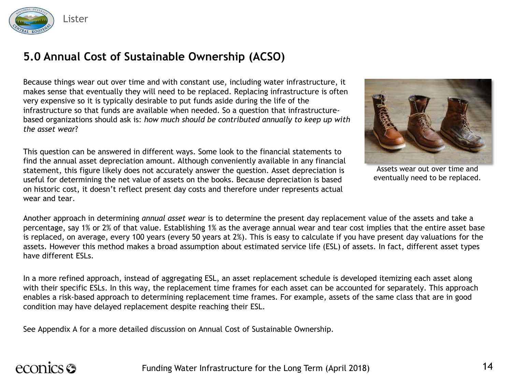

### **5.0 Annual Cost of Sustainable Ownership (ACSO)**

Because things wear out over time and with constant use, including water infrastructure, it makes sense that eventually they will need to be replaced. Replacing infrastructure is often very expensive so it is typically desirable to put funds aside during the life of the infrastructure so that funds are available when needed. So a question that infrastructurebased organizations should ask is: *how much should be contributed annually to keep up with the asset wear*?

This question can be answered in different ways. Some look to the financial statements to find the annual asset depreciation amount. Although conveniently available in any financial statement, this figure likely does not accurately answer the question. Asset depreciation is useful for determining the net value of assets on the books. Because depreciation is based on historic cost, it doesn't reflect present day costs and therefore under represents actual wear and tear.



Assets wear out over time and eventually need to be replaced.

Another approach in determining *annual asset wear* is to determine the present day replacement value of the assets and take a percentage, say 1% or 2% of that value. Establishing 1% as the average annual wear and tear cost implies that the entire asset base is replaced, on average, every 100 years (every 50 years at 2%). This is easy to calculate if you have present day valuations for the assets. However this method makes a broad assumption about estimated service life (ESL) of assets. In fact, different asset types have different ESLs.

In a more refined approach, instead of aggregating ESL, an asset replacement schedule is developed itemizing each asset along with their specific ESLs. In this way, the replacement time frames for each asset can be accounted for separately. This approach enables a risk-based approach to determining replacement time frames. For example, assets of the same class that are in good condition may have delayed replacement despite reaching their ESL.

See Appendix A for a more detailed discussion on Annual Cost of Sustainable Ownership.

# econics <del>S</del>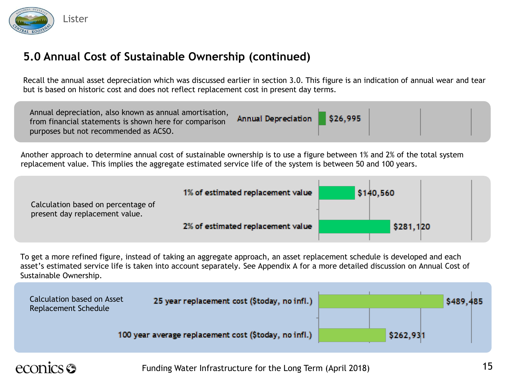

### **5.0 Annual Cost of Sustainable Ownership (continued)**

Recall the annual asset depreciation which was discussed earlier in section 3.0. This figure is an indication of annual wear and tear but is based on historic cost and does not reflect replacement cost in present day terms.

Another approach to determine annual cost of sustainable ownership is to use a figure between 1% and 2% of the total system replacement value. This implies the aggregate estimated service life of the system is between 50 and 100 years.



To get a more refined figure, instead of taking an aggregate approach, an asset replacement schedule is developed and each asset's estimated service life is taken into account separately. See Appendix A for a more detailed discussion on Annual Cost of Sustainable Ownership.



# econics **S**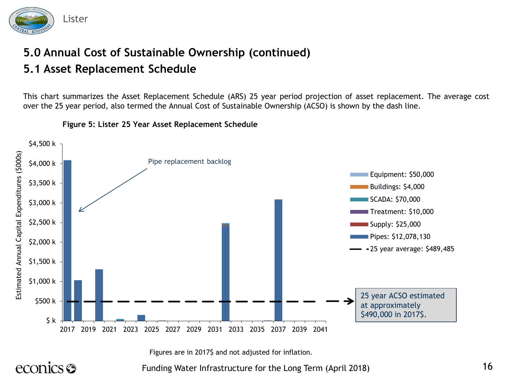

## **5.0 Annual Cost of Sustainable Ownership (continued) 5.1 Asset Replacement Schedule**

This chart summarizes the Asset Replacement Schedule (ARS) 25 year period projection of asset replacement. The average cost over the 25 year period, also termed the Annual Cost of Sustainable Ownership (ACSO) is shown by the dash line.



#### **Figure 5: Lister 25 Year Asset Replacement Schedule**

Figures are in 2017\$ and not adjusted for inflation.

econics <del>S</del>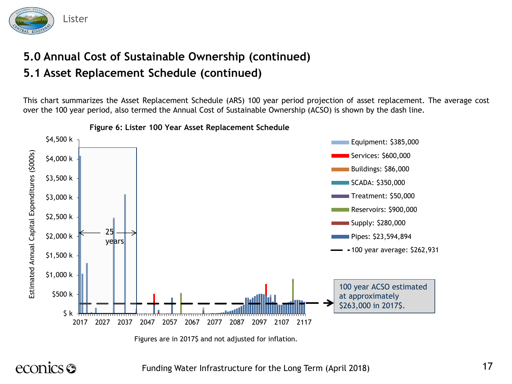

## **5.0 Annual Cost of Sustainable Ownership (continued) 5.1 Asset Replacement Schedule (continued)**

This chart summarizes the Asset Replacement Schedule (ARS) 100 year period projection of asset replacement. The average cost over the 100 year period, also termed the Annual Cost of Sustainable Ownership (ACSO) is shown by the dash line.



**Figure 6: Lister 100 Year Asset Replacement Schedule**

Figures are in 2017\$ and not adjusted for inflation.

econics <del>S</del>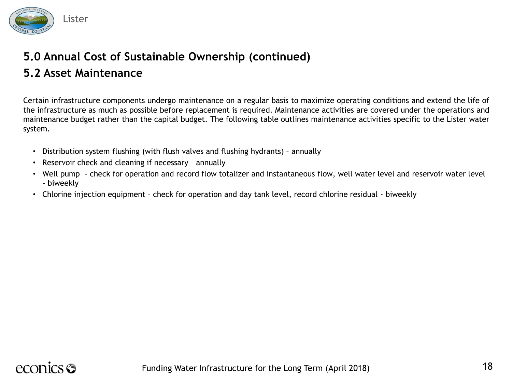

# **5.0 Annual Cost of Sustainable Ownership (continued)**

### **5.2 Asset Maintenance**

Certain infrastructure components undergo maintenance on a regular basis to maximize operating conditions and extend the life of the infrastructure as much as possible before replacement is required. Maintenance activities are covered under the operations and maintenance budget rather than the capital budget. The following table outlines maintenance activities specific to the Lister water system.

- Distribution system flushing (with flush valves and flushing hydrants) annually
- Reservoir check and cleaning if necessary annually
- Well pump check for operation and record flow totalizer and instantaneous flow, well water level and reservoir water level – biweekly
- Chlorine injection equipment check for operation and day tank level, record chlorine residual biweekly

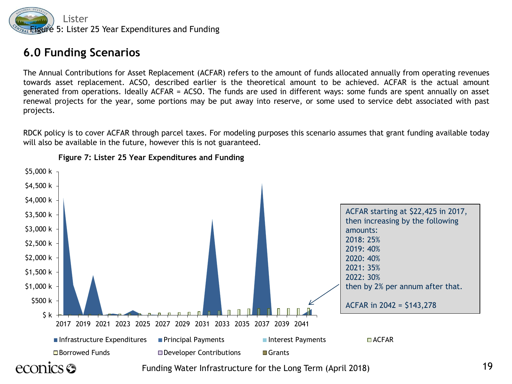

#### **6.0 Funding Scenarios**

The Annual Contributions for Asset Replacement (ACFAR) refers to the amount of funds allocated annually from operating revenues towards asset replacement. ACSO, described earlier is the theoretical amount to be achieved. ACFAR is the actual amount generated from operations. Ideally ACFAR = ACSO. The funds are used in different ways: some funds are spent annually on asset renewal projects for the year, some portions may be put away into reserve, or some used to service debt associated with past projects.

RDCK policy is to cover ACFAR through parcel taxes. For modeling purposes this scenario assumes that grant funding available today will also be available in the future, however this is not guaranteed.



**Figure 7: Lister 25 Year Expenditures and Funding**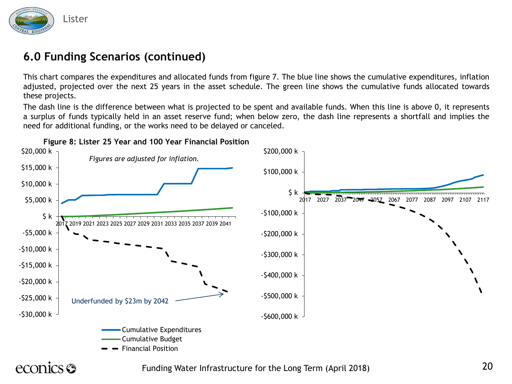

### **6.0 Funding Scenarios (continued)**

This chart compares the expenditures and allocated funds from figure 7. The blue line shows the cumulative expenditures, inflation adjusted, projected over the next 25 years in the asset schedule. The green line shows the cumulative funds allocated towards these projects.

The dash line is the difference between what is projected to be spent and available funds. When this line is above 0, it represents a surplus of funds typically held in an asset reserve fund; when below zero, the dash line represents a shortfall and implies the need for additional funding, or the works need to be delayed or canceled.



**Figure 8: Lister 25 Year and 100 Year Financial Position**

# econics <del>S</del>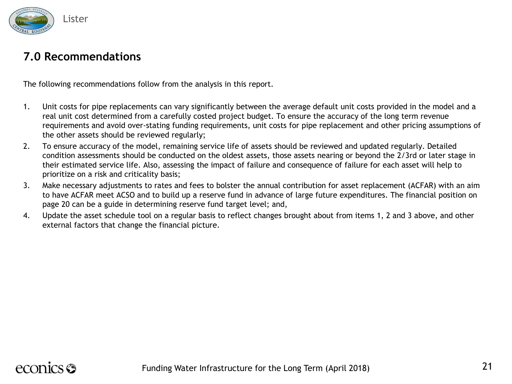

#### **7.0 Recommendations**

The following recommendations follow from the analysis in this report.

- 1. Unit costs for pipe replacements can vary significantly between the average default unit costs provided in the model and a real unit cost determined from a carefully costed project budget. To ensure the accuracy of the long term revenue requirements and avoid over-stating funding requirements, unit costs for pipe replacement and other pricing assumptions of the other assets should be reviewed regularly;
- 2. To ensure accuracy of the model, remaining service life of assets should be reviewed and updated regularly. Detailed condition assessments should be conducted on the oldest assets, those assets nearing or beyond the 2/3rd or later stage in their estimated service life. Also, assessing the impact of failure and consequence of failure for each asset will help to prioritize on a risk and criticality basis;
- 3. Make necessary adjustments to rates and fees to bolster the annual contribution for asset replacement (ACFAR) with an aim to have ACFAR meet ACSO and to build up a reserve fund in advance of large future expenditures. The financial position on page 20 can be a guide in determining reserve fund target level; and,
- 4. Update the asset schedule tool on a regular basis to reflect changes brought about from items 1, 2 and 3 above, and other external factors that change the financial picture.

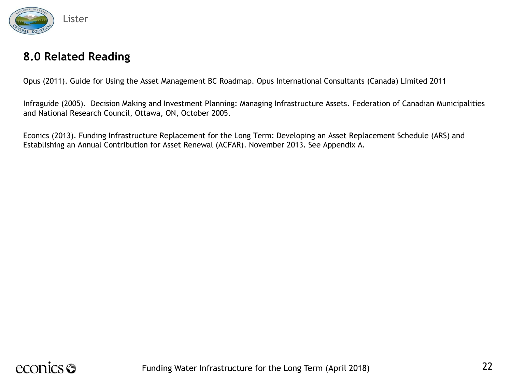

#### **8.0 Related Reading**

Opus (2011). Guide for Using the Asset Management BC Roadmap. Opus International Consultants (Canada) Limited 2011

Infraguide (2005). Decision Making and Investment Planning: Managing Infrastructure Assets. Federation of Canadian Municipalities and National Research Council, Ottawa, ON, October 2005.

Econics (2013). Funding Infrastructure Replacement for the Long Term: Developing an Asset Replacement Schedule (ARS) and Establishing an Annual Contribution for Asset Renewal (ACFAR). November 2013. See Appendix A.

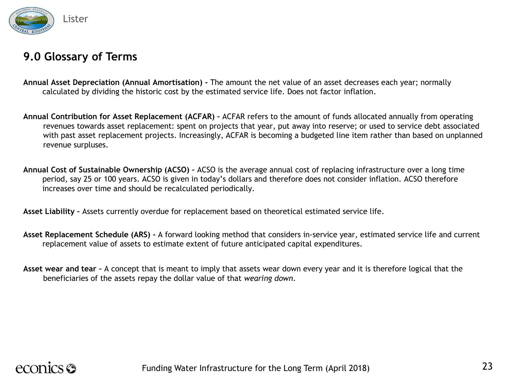

#### **9.0 Glossary of Terms**

- **Annual Asset Depreciation (Annual Amortisation) -** The amount the net value of an asset decreases each year; normally calculated by dividing the historic cost by the estimated service life. Does not factor inflation.
- **Annual Contribution for Asset Replacement (ACFAR) –** ACFAR refers to the amount of funds allocated annually from operating revenues towards asset replacement: spent on projects that year, put away into reserve; or used to service debt associated with past asset replacement projects. Increasingly, ACFAR is becoming a budgeted line item rather than based on unplanned revenue surpluses.
- **Annual Cost of Sustainable Ownership (ACSO) –** ACSO is the average annual cost of replacing infrastructure over a long time period, say 25 or 100 years. ACSO is given in today's dollars and therefore does not consider inflation. ACSO therefore increases over time and should be recalculated periodically.

**Asset Liability –** Assets currently overdue for replacement based on theoretical estimated service life.

- **Asset Replacement Schedule (ARS) -** A forward looking method that considers in-service year, estimated service life and current replacement value of assets to estimate extent of future anticipated capital expenditures.
- **Asset wear and tear –** A concept that is meant to imply that assets wear down every year and it is therefore logical that the beneficiaries of the assets repay the dollar value of that *wearing down*.